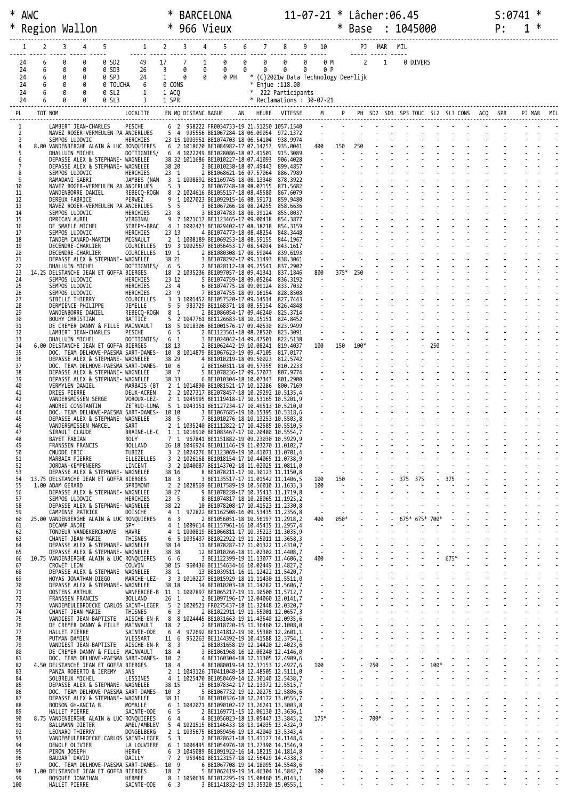|          |          |         | Region Wallon                            |                        | * 966 Vieux                                                                    |    |                                         |                     |                                                                                                |    |   |                                          |                                                |                                  | Base                                                                                                                                                           |                       | 1045000                                      |                |      | P: | ∗ |  |
|----------|----------|---------|------------------------------------------|------------------------|--------------------------------------------------------------------------------|----|-----------------------------------------|---------------------|------------------------------------------------------------------------------------------------|----|---|------------------------------------------|------------------------------------------------|----------------------------------|----------------------------------------------------------------------------------------------------------------------------------------------------------------|-----------------------|----------------------------------------------|----------------|------|----|---|--|
|          |          | 2       | 3                                        | 5<br>4                 | $\mathbf{1}$                                                                   |    | $\overline{2}$                          | 3                   | 4                                                                                              | 6  |   | $7 \t 8$                                 | 9<br>10                                        |                                  |                                                                                                                                                                | PJ MAR                | MIL                                          |                |      |    |   |  |
|          | 24       | 6       | 0                                        | 0 SD2<br>0             | 49                                                                             | 17 |                                         | 7                   | 0<br>1                                                                                         | 0  | 0 | <u> 11111 11111 11111 11111  </u><br>0   | 0<br>0 M                                       |                                  |                                                                                                                                                                | $2 \quad 1$           | 0 DIVERS                                     |                |      |    |   |  |
|          | 24<br>24 | 6<br>6  | 0<br>0<br>0<br>0                         | 0 SD3<br>0 SP3         | 26<br>24                                                                       |    | $\overline{3}$<br>$\mathbf{1}$          | 0<br>0              | 0<br>0<br>0 PH<br>0                                                                            | 0  | 0 | 0<br>* (C)2021w Data Technology Deerlijk | 0<br>0 P                                       |                                  |                                                                                                                                                                |                       |                                              |                |      |    |   |  |
|          | 24<br>24 | 6<br>6  | 0<br>0<br>0<br>0                         | 0 SL2                  | 0 TOUCHA<br>6<br>1                                                             |    | 0 CONS<br>1 ACO                         |                     |                                                                                                |    |   | * Enjue : 118.00<br>* 222 Participants   |                                                |                                  |                                                                                                                                                                |                       |                                              |                |      |    |   |  |
|          | 24       | 6       |                                          | 0<br>0 SL3             | 3                                                                              |    | 1 SPR                                   |                     |                                                                                                |    |   | * Reclamations : 30-07-21                |                                                |                                  |                                                                                                                                                                |                       |                                              |                |      |    |   |  |
| PL       |          | TOT NOM |                                          |                        | LOCALITE                                                                       |    |                                         | EN MQ DISTANC BAGUE |                                                                                                | AN |   | HEURE VITESSE                            |                                                |                                  |                                                                                                                                                                |                       | M P PH SD2 SD3 SP3 TOUC SL2 SL3 CONS ACQ SPR |                |      |    |   |  |
| 1        |          |         |                                          | LAMBERT JEAN-CHARLES   | PESCHE<br>NAVEZ ROGER-VERMEULEN PA ANDERLUES                                   |    |                                         |                     | 6 2 958222 FR0034733-19 21.51250 1057.1540<br>5 4 995556 BE1067284-18 06.09054 972.1372        |    |   |                                          |                                                |                                  |                                                                                                                                                                |                       |                                              |                |      |    |   |  |
| 4        | 3        |         | SEMPOS LUDOVIC                           |                        | HERCHIES<br>8.00 VANDENBERGHE ALAIN & LUC RONQUIERES                           |    |                                         |                     | 23 15 1003951 BE1074703-18 06.54104<br>6 2 1018620 BE1084982-17 07.14257                       |    |   | 938.9974<br>935.0041                     | $\frac{1}{2}$ .<br>400                         | $\sim$ $\sim$                    | $\sim 10$<br>150 250                                                                                                                                           |                       |                                              |                |      |    |   |  |
| 5<br>6   |          |         | DHALLUIN MICHEL                          |                        | DOTTIGNIES/<br>DEPASSE ALEX & STEPHANE- WAGNELEE                               |    |                                         |                     | 6 4 1022249 BE1028086-18 07.41501<br>38 32 1011686 BE1010227-18 07.41093                       |    |   | 915.3089<br>906,4028                     | <b>Contract Contract</b>                       |                                  | $\sim 10$                                                                                                                                                      |                       |                                              |                |      |    |   |  |
| 8        |          |         | SEMPOS LUDOVIC                           |                        | DEPASSE ALEX & STEPHANE- WAGNELEE<br>HERCHIES                                  |    | 38 20<br>$23 \quad 1$                   |                     | 2 BE1010238-18 07.49443<br>2 BE1068621-16 07.57064                                             |    |   | 899.4857<br>886.7989                     |                                                |                                  |                                                                                                                                                                |                       |                                              |                |      |    |   |  |
| 9<br>10  |          |         | RAMADANI SABRI                           |                        | JAMBES (NAM<br>NAVEZ ROGER-VERMEULEN PA ANDERLUES                              |    | 5 <sub>3</sub>                          |                     | 3 1 1008892 BE1169745-18 08.13340<br>2 BE1067248-18 08.07155                                   |    |   | 878.3922<br>871.5682                     |                                                |                                  | $\begin{array}{ccc} \frac{1}{2} & \frac{1}{2} & \frac{1}{2} \\ \frac{1}{2} & \frac{1}{2} & \frac{1}{2} \\ \frac{1}{2} & \frac{1}{2} & \frac{1}{2} \end{array}$ |                       |                                              |                |      |    |   |  |
| 11<br>12 |          |         | VANDENBORRE DANIEL<br>DEREUX FABRICE     |                        | REBECQ-ROGN<br>PERWEZ                                                          |    | 8<br>9                                  |                     | 2 1024616 BE1055157-18 08.45580<br>1 1027023 BE1092915-16 08.59171                             |    |   | 867.6079<br>859.9480                     |                                                |                                  |                                                                                                                                                                |                       |                                              |                |      |    |   |  |
| 13<br>14 |          |         | SEMPOS LUDOVIC                           |                        | NAVEZ ROGER-VERMEULEN PA ANDERLUES<br>HERCHIES                                 |    | 5 <sub>5</sub><br>238                   |                     | 3 BE1067266-18 08.24255<br>3 BE1074783-18 08.39124                                             |    |   | 858.6636<br>855.0037                     |                                                |                                  |                                                                                                                                                                |                       |                                              |                |      |    |   |  |
| 15<br>16 |          |         | OPRICAN AUREL<br>DE SMAELE MICHEL        |                        | VIRGINAL<br>STREPY-BRAC                                                        |    | 9                                       |                     | 7 1021617 BE1123465-17 09.00438<br>4 1 1002423 BE1029402-17 08.38218                           |    |   | 854.3877<br>854, 3159                    | $\omega_{\rm{max}}$                            |                                  |                                                                                                                                                                |                       |                                              |                |      |    |   |  |
| 17<br>18 |          |         | SEMPOS LUDOVIC                           | TANDEM CANARD-MARTIN   | HERCHIES<br>MIGNAULT                                                           |    | 23 13                                   |                     | 4 BE1074773-18 08.48254<br>2 1 1008189 BE1069253-18 08.59155                                   |    |   | 848.3448<br>844,1967                     |                                                |                                  |                                                                                                                                                                |                       |                                              |                |      |    |   |  |
| 19<br>20 |          |         | DECENDRE-CHARLIER<br>DECENDRE-CHARLIER   |                        | COURCELLES<br>COURCELLES                                                       |    | 19 1                                    |                     | 19 3 1002567 BE1056453-17 08.54034<br>2 BE1080308-17 08.59044                                  |    |   | 843.1617<br>839.6193                     |                                                |                                  |                                                                                                                                                                |                       |                                              |                |      |    |   |  |
| 21<br>22 |          |         | DHALLUIN MICHEL                          |                        | DEPASSE ALEX & STEPHANE- WAGNELEE<br>DOTTIGNIES/                               |    | 38 21<br>65                             |                     | 3 BE1078292-17 09.11493<br>2 BE1028112-18 09.25541                                             |    |   | 838.3061<br>837.2902                     | $\sim$<br>$\sim 10^{-11}$                      |                                  |                                                                                                                                                                |                       |                                              |                |      |    |   |  |
| 23<br>24 |          |         | SEMPOS LUDOVIC                           |                        | 14.25 DELSTANCHE JEAN ET GOFFA BIERGES<br>HERCHIES                             |    | 23 12                                   |                     | 18 2 1035236 BE1097057-18 09.41341<br>5 BE1074759-18 09.05264                                  |    |   | 837.1846<br>836.3192                     | 800<br>$\sim$                                  | 375*                             | 250                                                                                                                                                            |                       |                                              |                |      |    |   |  |
| 25<br>26 |          |         | SEMPOS LUDOVIC<br>SEMPOS LUDOVIC         |                        | HERCHIES<br>HERCHIES                                                           |    | 23 4<br>239                             |                     | 6 BE1074775-18 09.09124<br>7 BE1074755-18 09.16154                                             |    |   | 833.7032<br>828.8508                     |                                                |                                  |                                                                                                                                                                |                       |                                              |                |      |    |   |  |
| 27<br>28 |          |         | SIBILLE THIERRY<br>DERMIENCE PHILIPPE    |                        | COURCELLES<br>JEMELLE                                                          |    | 5<br>- 5                                |                     | 3 3 1001452 BE1057520-17 09.14514<br>983729 BE1168371-18 08.55154                              |    |   | 827.7443<br>826.4848                     |                                                |                                  |                                                                                                                                                                |                       |                                              |                |      |    |   |  |
| 29<br>30 |          |         | VANDENBORRE DANIEL<br>BOUHY CHRISTIAN    |                        | REBECQ-ROGN<br>BATTICE                                                         |    | 8<br>- 1<br>5                           |                     | 2 BE1086054-17 09.46240<br>2 1047761 BE1126683-18 10.15151                                     |    |   | 825.3714<br>824.8452                     |                                                |                                  |                                                                                                                                                                |                       |                                              |                |      |    |   |  |
| 31<br>32 |          |         |                                          | LAMBERT JEAN-CHARLES   | DE CREMER DANNY & FILLE MAINVAULT<br>PESCHE                                    |    | 6<br>- 5                                |                     | 18 5 1018306 BE1001576-17 09.40530<br>2 BE1123561-18 08.28520                                  |    |   | 823.9499<br>823.3091                     |                                                |                                  |                                                                                                                                                                |                       |                                              |                |      |    |   |  |
| 33<br>34 |          |         | DHALLUIN MICHEL                          |                        | DOTTIGNIES/<br>6.00 DELSTANCHE JEAN ET GOFFA BIERGES                           |    | 6 <sub>1</sub><br>18 13                 |                     | 3 BE1024042-14 09.47501<br>2 BE1062442-19 10.08241                                             |    |   | 822.5138<br>819.4037                     | $\sim 10^{-1}$<br>100                          | $\sim$<br>150                    | 100*                                                                                                                                                           |                       |                                              |                |      |    |   |  |
| 35<br>36 |          |         |                                          |                        | DOC. TEAM DELHOVE-PAESMA SART-DAMES-<br>DEPASSE ALEX & STEPHANE- WAGNELEE      |    | 38 29                                   |                     | 10 8 1014879 BE1067623-19 09.47105<br>4 BE1010219-18 09.50023                                  |    |   | 817.0177<br>812.5742                     | $\sim$ $\sim$                                  | $\sim 100$                       |                                                                                                                                                                |                       |                                              |                |      |    |   |  |
| 37<br>38 |          |         |                                          |                        | DOC. TEAM DELHOVE-PAESMA SART-DAMES-<br>DEPASSE ALEX & STEPHANE- WAGNELEE      |    | 10 6<br>38 7                            |                     | 2 BE1160311-18 09.57355 810.2233<br>5 BE1078236-17 09.57073                                    |    |   | 807.9774                                 |                                                |                                  |                                                                                                                                                                |                       |                                              |                |      |    |   |  |
| 39       |          |         |                                          |                        | DEPASSE ALEX & STEPHANE- WAGNELEE                                              |    | 38 33                                   |                     | 6 BE1010304-18 10.07343                                                                        |    |   | 801.2900                                 | $\mathbb{R}^2 \times \mathbb{R}^2$             |                                  |                                                                                                                                                                |                       |                                              |                |      |    |   |  |
| 40<br>41 |          |         | VERMYLEN DANIEL<br>DRIES PIERRE          |                        | MARBAIS (BT<br>DEUX-ACREN                                                      |    | 2                                       |                     | 2 1 1014890 BE1081521-17 10.12286 800.7169<br>2 1027317 BE2078457-18 10.29292 10.5135,4        |    |   |                                          |                                                |                                  |                                                                                                                                                                |                       |                                              |                |      |    |   |  |
| 42<br>43 |          |         | VANDERSMISSEN SERGE<br>ANDREI CONSTANTIN |                        | VOROUX-LEZ-<br>ZETRUD-LUMA                                                     |    |                                         |                     | 2 1 1045995 BE1119418-17 10.53165 10.5201,9<br>5 1 1043151 BE1127234-17 10.49513 10.5210,0     |    |   |                                          |                                                |                                  |                                                                                                                                                                |                       |                                              |                |      |    |   |  |
| 44<br>45 |          |         |                                          |                        | DOC. TEAM DELHOVE-PAESMA SART-DAMES-<br>DEPASSE ALEX & STEPHANE- WAGNELEE      |    | 10 10<br>38 5                           |                     | 3 BE1067685-19 10.15395 10.5318,6<br>7 BE1010276-18 10.13253 10.5503,8                         |    |   |                                          |                                                |                                  |                                                                                                                                                                |                       |                                              |                |      |    |   |  |
| 46<br>47 |          |         | SIRAULT CLAUDE                           | VANDERSMISSEN MARCEL   | SART<br>BRAINE-LE-C                                                            |    |                                         |                     | 2 1 1035240 BE1112822-17 10.42585 10.5510,5<br>1 1 1016910 BE1083467-17 10.20480 10.5554,7     |    |   |                                          |                                                |                                  |                                                                                                                                                                |                       |                                              |                |      |    |   |  |
| 48<br>49 |          |         | BAYET FABIAN<br>FRANSSEN FRANCIS         |                        | ROLY<br><b>BOLLAND</b>                                                         |    |                                         |                     | 7 1 967841 BE1151882-19 09.23030 10.5929,9<br>26 18 1046924 BE1011146-19 11.03270 11.0102,7    |    |   |                                          |                                                |                                  |                                                                                                                                                                |                       |                                              |                |      |    |   |  |
| 50<br>51 |          |         | CNUDDE ERIC<br>MARBAIX PIERRE            |                        | TUBIZE<br>ELLEZELLES                                                           |    | 3                                       |                     | 2 1024276 BE1123069-19 10.41071 11.0701,4<br>3 2 1026168 BE1018154-17 10.44065 11.0738,9       |    |   |                                          |                                                |                                  |                                                                                                                                                                |                       |                                              |                |      |    |   |  |
| 52<br>53 |          |         | JORDAN-KEMPENEERS                        |                        | LINCENT<br>DEPASSE ALEX & STEPHANE- WAGNELEE                                   |    | 38 16                                   |                     | 3 2 1040087 BE1143702-18 11.02025 11.0811.0<br>8 BE1078211-17 10.30123 11.1150,8               |    |   |                                          | $\sim$                                         |                                  |                                                                                                                                                                |                       |                                              |                |      |    |   |  |
| 54<br>55 |          |         | 1.00 ADAM GERARD                         |                        | 13.75 DELSTANCHE JEAN ET GOFFA BIERGES<br>SPRIMONT                             |    | 18 3                                    |                     | 3 BE1135517-17 11.01542 11.1406,5<br>2 2 1028569 BE1017589-19 10.56010 11.1633,3               |    |   |                                          | 100<br>100                                     | 150                              |                                                                                                                                                                |                       | 375<br>375                                   |                |      |    |   |  |
| 56<br>57 |          |         | SEMPOS LUDOVIC                           |                        | DEPASSE ALEX & STEPHANE- WAGNELEE<br>HERCHIES                                  |    | 38 27<br>23 <sub>5</sub>                |                     | 9 BE1078228-17 10.35413 11.1719,8<br>8 BE1074817-18 10.28065 11.1925,2                         |    |   |                                          | $\sim$<br>$\sim$                               |                                  |                                                                                                                                                                |                       |                                              |                |      |    |   |  |
| 58<br>59 |          |         | CAMPINNE PATRICK                         |                        | DEPASSE ALEX & STEPHANE- WAGNELEE<br><b>DOISCHE</b>                            |    | 38 22<br>$4 \quad 1$                    |                     | 10 BE1078208-17 10.41523 11.2330,8<br>972822 BE1162508-16 09.53435 11.2356,8                   |    |   |                                          | $\sim$                                         |                                  |                                                                                                                                                                |                       |                                              |                |      |    |   |  |
| 60<br>61 |          |         | DECAMP ANDRE                             |                        | 25.00 VANDENBERGHE ALAIN & LUC RONQUIERES<br><b>SPY</b>                        |    | 6 <sup>3</sup>                          |                     | 2 BE1056051-18 10.56197 11.2918.2<br>4 1 1009614 BE1157961-16 10.45435 11.2957,4               |    |   |                                          | 400<br>$\sim$                                  | 050*                             |                                                                                                                                                                |                       | 675* 675* 700*                               |                |      |    |   |  |
| 62<br>63 |          |         | CHANET JEAN-MARIE                        | TONDEUR-VANDEKERCKHOVE | HAVRE<br>THISNES                                                               |    | 4                                       |                     | 1 1000819 BE1066811-17 10.35223 11.3035,9<br>6 5 1035437 BE1022922-19 11.25011 11.3658,3       |    |   |                                          | $\overline{\phantom{a}}$<br>$\sim$             | $\overline{\phantom{a}}$         |                                                                                                                                                                |                       |                                              |                |      |    |   |  |
| 64<br>65 |          |         |                                          |                        | DEPASSE ALEX & STEPHANE- WAGNELEE<br>DEPASSE ALEX & STEPHANE- WAGNELEE         |    | 38 14<br>38 38                          |                     | 11 BE1078287-17 11.01322 11.4310,7<br>12 BE1010266-18 11.02302 11.4408,7                       |    |   |                                          | $\sim$<br>$\sim 10^{-1}$                       | $\omega$                         |                                                                                                                                                                |                       |                                              |                |      |    |   |  |
| 66<br>67 |          |         | CROWET LEON                              |                        | 10.75 VANDENBERGHE ALAIN & LUC RONQUIERES<br>COUVIN                            |    | 6 6                                     |                     | 3 BE1122399-19 11.13077 11.4606,2<br>30 15 960436 BE1154634-16 10.02449 11.4827,2              |    |   |                                          | 400<br>$\sim 100$                              |                                  |                                                                                                                                                                |                       |                                              |                | 675* |    |   |  |
| 68<br>69 |          |         |                                          | HOYAS JONATHAN-DIEGO   | DEPASSE ALEX & STEPHANE- WAGNELEE<br>MARCHE-LEZ-                               |    | 38 1                                    |                     | 13 BE1039511-16 11.12422 11.5420,7<br>3 3 1010227 BE1015929-18 11.11430 11.5511,0              |    |   |                                          | $\sim$                                         | $\omega$                         |                                                                                                                                                                |                       |                                              |                |      |    |   |  |
| 70<br>71 |          |         | OOSTENS ARTHUR                           |                        | DEPASSE ALEX & STEPHANE- WAGNELEE                                              |    | 38 18                                   |                     | 14 BE1010203-18 11.14282 11.5606,7<br>WANFERCEE-B 11 1 1007897 BE1065217-19 11.10500 11.5712,7 |    |   |                                          | $\frac{1}{2}$                                  | $\mathbb{Z}^2$                   |                                                                                                                                                                |                       |                                              |                |      |    |   |  |
| 72<br>73 |          |         | FRANSSEN FRANCIS                         |                        | <b>BOLLAND</b><br>VANDEMEULEBROECKE CARLOS SAINT-LEGER                         |    | $26 \quad 1$<br>- 5                     |                     | 2 BE1097196-17 12.04060 12.0141,7<br>2 1020521 FR0275437-18 11.32448 12.0320,7                 |    |   |                                          |                                                |                                  |                                                                                                                                                                |                       |                                              |                |      |    |   |  |
| 74<br>75 |          |         | CHANET JEAN-MARIE                        | VANDIEST JEAN-BAPTISTE | THISNES<br>AISCHE-EN-R                                                         |    | $\overline{\mathbf{3}}$<br>6            |                     | 2 BE1022911-19 11.55001 12.0657,3<br>8 8 1024445 BE1031663-19 11.43540 12.0935,6               |    |   |                                          | $\frac{1}{2}$ .                                | $\Box$                           |                                                                                                                                                                |                       |                                              |                |      |    |   |  |
| 76<br>77 |          |         | HALLET PIERRE                            |                        | DE CREMER DANNY & FILLE MAINVAULT<br>SAINTE-ODE                                |    | 18<br>2<br>- 6<br>4                     |                     | 2 BE1018720-15 11.36460 12.1008,0<br>972692 BE1141812-19 10.55380 12.2601,1                    |    |   |                                          |                                                | $\mathbb{Z}^2$<br>$\omega$       | $\omega$                                                                                                                                                       |                       |                                              |                |      |    |   |  |
| 78<br>79 |          |         | PUTMAN DAMIEN                            | VANDIEST JEAN-BAPTISTE | VLESSART<br>AISCHE-EN-R                                                        |    | 11 6<br>8<br>$\overline{\mathbf{3}}$    |                     | 952263 BE1144392-19 10.41588 12.3754,1<br>2 BE1031658-19 12.14420 12.4023,6                    |    |   |                                          | $\begin{bmatrix} 1 & 0 \\ 0 & 1 \end{bmatrix}$ |                                  |                                                                                                                                                                |                       |                                              |                |      |    |   |  |
| 80<br>81 |          |         |                                          |                        | DE CREMER DANNY & FILLE MAINVAULT<br>DOC. TEAM DELHOVE-PAESMA SART-DAMES-      |    | 18 4<br>10 2                            |                     | 3 BE1061968-16 12.08240 12.4146,0<br>4 BE1160304-18 12.11305 12.4909,6                         |    |   |                                          |                                                | $\Box$                           |                                                                                                                                                                | $\sim$                |                                              |                |      |    |   |  |
| 82<br>83 |          |         |                                          | PANZA ROBERTO & JEREMY | 4.50 DELSTANCHE JEAN ET GOFFA BIERGES<br>ANS                                   |    | 18 4                                    |                     | 4 BE1080019-14 12.37153 12.4927,6<br>2 1 1043126 IT0411048-18 12.48505 12.5111,0               |    |   |                                          | 100<br>$\sim 100$                              | $\overline{\phantom{a}}$         | $\Box$                                                                                                                                                         | 250<br>$\blacksquare$ |                                              | 100*<br>$\sim$ |      |    |   |  |
| 84<br>85 |          |         | SOLBREUX MICHEL                          |                        | LESSINES<br>DEPASSE ALEX & STEPHANE- WAGNELEE                                  |    | 38 15                                   |                     | 4 1 1025470 BE1050469-14 12.30140 12.5438,7<br>15 BE1078342-17 12.13372 12.5515,7              |    |   |                                          | $\sim$                                         | $\omega$                         |                                                                                                                                                                |                       |                                              |                |      |    |   |  |
| 86<br>87 |          |         |                                          |                        | DOC. TEAM DELHOVE-PAESMA SART-DAMES- 10 3<br>DEPASSE ALEX & STEPHANE- WAGNELEE |    | 38 11                                   |                     | 5 BE1067732-19 12.20275 12.5806,6<br>16 BE1010326-18 12.24172 13.0555,7                        |    |   |                                          | $\mathcal{L}_{\mathcal{A}}$<br>$\frac{1}{2}$ . | $\blacksquare$<br>$\blacksquare$ |                                                                                                                                                                |                       |                                              |                |      |    |   |  |
| 88<br>89 |          |         | BODSON GH-ANCIA B<br>HALLET PIERRE       |                        | MOMALLE<br>SAINTE-ODE                                                          |    | 6 5                                     |                     | 6 1 1042071 BE1090102-17 13.26241 13.3003,8<br>2 BE1169771-15 12.06130 13.3636,1               |    |   |                                          | $\sim 10^{-10}$                                | $\mathcal{L}$<br>$\blacksquare$  |                                                                                                                                                                |                       |                                              |                |      |    |   |  |
| 90<br>91 |          |         | BALLMANN DIETER                          |                        | 8.75 VANDENBERGHE ALAIN & LUC RONOUIERES<br>AMEL/AMBLEV                        |    | 64<br>5                                 |                     | 4 BE1056023-18 13.05447 13.3843,2<br>4 1021515 BE1146433-18 13.14035 13.4324,9                 |    |   |                                          | $175*$<br>$\sim 10^{-1}$                       |                                  |                                                                                                                                                                | 700*                  |                                              |                |      |    |   |  |
| 92<br>93 |          |         | LEONARD THIERRY                          |                        | DONGELBERG<br>VANDEMEULEBROECKE CARLOS SAINT-LEGER                             |    | $\overline{2}$<br>5 <sup>3</sup>        |                     | 1 1035675 BE1059456-19 13.42040 13.5343,4<br>2 BE1028621-18 13.41127 14.1148,6                 |    |   |                                          | $\omega$                                       | $\omega$                         |                                                                                                                                                                |                       |                                              |                |      |    |   |  |
| 94<br>95 |          |         | DEWOLF OLIVIER<br>PIRON JOSEPH           |                        | LA LOUVIERE<br>HERVE                                                           |    | 6<br>6                                  |                     | 1 1006495 BE1054976-18 13.27390 14.1546,9<br>3 1045089 BE1091922-16 14.18215 14.1814,8         |    |   |                                          |                                                | $\Box$                           |                                                                                                                                                                |                       |                                              |                |      |    |   |  |
| 96<br>97 |          |         | BAUDART DAVID                            |                        | DAILLY<br>DOC. TEAM DELHOVE-PAESMA SART-DAMES- 10                              |    | $\overline{7}$<br>$\overline{2}$<br>- 9 |                     | 959461 BE1123157-18 12.56429 14.4338,3<br>6 BE1067708-19 14.18095 14.5548,6                    |    |   |                                          |                                                |                                  |                                                                                                                                                                |                       |                                              |                |      |    |   |  |
| 98<br>99 |          |         | BOSQUEE JONATHAN                         |                        | 1.00 DELSTANCHE JEAN ET GOFFA BIERGES<br>HERMEE                                |    | 18 7                                    |                     | 5 BE1062419-19 14.46304 14.5842,7<br>8 1 1050639 BE1012295-19 15.08460 15.0143,1               |    |   |                                          | 100<br>$\sim$                                  |                                  |                                                                                                                                                                |                       |                                              |                |      |    |   |  |
| 100      |          |         | HALLET PIERRE                            |                        | SAINTE-ODE                                                                     |    | 6 <sup>3</sup>                          |                     | 3 BE1141832-19 13.35320 15.0555,1                                                              |    |   |                                          |                                                |                                  |                                                                                                                                                                |                       |                                              |                |      |    |   |  |

\* AWC \* BARCELONA 11-07-21 \* Lâcher:06.45 S:0741 \*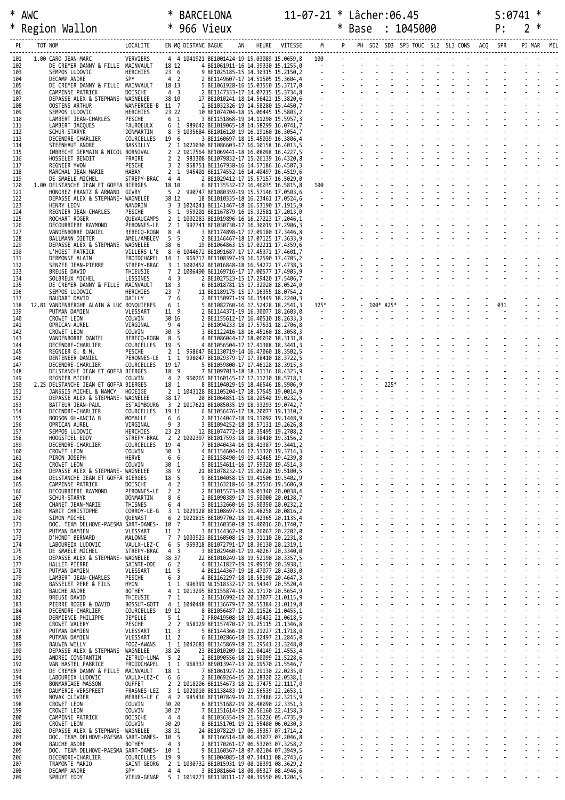| ⋇  | <b>AWC</b>    |          | NM∆<br>RVBL         |    |       |         | ∙07∆″ |      |                                          |  |     |        |
|----|---------------|----------|---------------------|----|-------|---------|-------|------|------------------------------------------|--|-----|--------|
| -≭ | Region Wallon |          | 966<br>Vieux        |    |       |         |       | Base | 1045000                                  |  |     | ~      |
| DI | TOT NOM       | LOCALITE | EN MO DISTANC BAGUE | AN | HEURE | VITESSE |       |      | M P PH SD2 SD3 SP3 TOUC SL2 SL3 CONS ACQ |  | SPR | PJ MAR |

| PL         | TOT NOM |                                                                                | LOCALITE                       |                                   | EN MQ DISTANC BAGUE |                                                                                                       |  |                                                                                                    |                |               |                            |  |  |  |
|------------|---------|--------------------------------------------------------------------------------|--------------------------------|-----------------------------------|---------------------|-------------------------------------------------------------------------------------------------------|--|----------------------------------------------------------------------------------------------------|----------------|---------------|----------------------------|--|--|--|
| 101        |         | 1.00 CARO JEAN-MARC                                                            | VERVIERS                       |                                   |                     |                                                                                                       |  |                                                                                                    |                |               |                            |  |  |  |
| 102<br>103 |         | DE CREMER DANNY & FILLE MAINVAULT 18 12<br>SEMPOS LUDOVIC                      | HERCHIES                       |                                   |                     |                                                                                                       |  |                                                                                                    |                |               |                            |  |  |  |
| 104<br>105 |         | DECAMP ANDRE<br>DE CREMER DANNY & FILLE MAINVAULT                              | SPY                            |                                   |                     |                                                                                                       |  |                                                                                                    |                |               |                            |  |  |  |
| 106<br>107 |         | CAMPINNE PATRICK<br>DEPASSE ALEX & STEPHANE- WAGNELEE                          | DOISCHE                        |                                   |                     |                                                                                                       |  |                                                                                                    |                |               |                            |  |  |  |
| 108<br>109 |         | OOSTENS ARTHUR<br>SEMPOS LUDOVIC                                               | WANFERCEE-B 11 7<br>HERCHIES   |                                   |                     |                                                                                                       |  |                                                                                                    |                |               |                            |  |  |  |
| 110<br>111 |         | LAMBERT JEAN-CHARLES<br>LAMBERT JACQUES                                        | PESCHE<br>FAUROEULX            |                                   |                     |                                                                                                       |  |                                                                                                    |                |               |                            |  |  |  |
| 112<br>113 |         | SCHUR-STARYK<br>DECENDRE-CHARLIER                                              | DONMARTIN<br>COURCELLES        | 19 6                              |                     |                                                                                                       |  |                                                                                                    |                |               |                            |  |  |  |
| 114<br>115 |         | STEENHAUT ANDRE<br>IMBRECHT GERMAIN & NICOL BORNIVAL                           | BASSILLY                       |                                   |                     |                                                                                                       |  |                                                                                                    |                |               |                            |  |  |  |
| 116        |         | HOSSELET BENOIT                                                                | FRAIRE                         |                                   |                     |                                                                                                       |  |                                                                                                    |                |               |                            |  |  |  |
| 117<br>118 |         | REGNIER YVON<br>MARCHAL JEAN MARIE                                             | PESCHE<br>HABAY                |                                   |                     |                                                                                                       |  |                                                                                                    |                |               |                            |  |  |  |
| 119<br>120 |         | DE SMAELE MICHEL<br>1.00 DELSTANCHE JEAN ET GOFFA BIERGES                      | STREPY-BRAC 4 4                |                                   |                     |                                                                                                       |  |                                                                                                    |                |               |                            |  |  |  |
| 121<br>122 |         | HONOREZ FRANTZ & ARMAND GIVRY<br>DEPASSE ALEX & STEPHANE- WAGNELEE             |                                |                                   |                     |                                                                                                       |  |                                                                                                    |                |               |                            |  |  |  |
| 123<br>124 |         | HENRY LEON<br>REGNIER JEAN-CHARLES                                             | NANDRIN<br>PESCHE              |                                   |                     |                                                                                                       |  |                                                                                                    |                |               |                            |  |  |  |
| 125<br>126 |         | ROCHART ROGER<br>DECOURRIERE RAYMOND                                           | PERONNES-LE                    |                                   |                     | QUEVAUCAMPS 2 1 1002283 BE1019896-16 16.27223 17.2046,1                                               |  |                                                                                                    |                |               |                            |  |  |  |
| 127<br>128 |         | VANDENBORRE DANIEL<br>BALLMANN DIETER                                          | REBECQ-ROGN 8 4<br>AMEL/AMBLEV |                                   |                     |                                                                                                       |  |                                                                                                    |                |               |                            |  |  |  |
| 129<br>130 |         | DEPASSE ALEX & STEPHANE- WAGNELEE<br>L'HOEST PATRICK                           | VILLERS L'E 8                  |                                   |                     |                                                                                                       |  |                                                                                                    |                |               |                            |  |  |  |
| 131<br>132 |         | DERMONNE ALAIN                                                                 |                                |                                   |                     | FROIDCHAPEL 14 1 969717 BE1108397-19 16.12590 17.4705,2                                               |  |                                                                                                    |                |               |                            |  |  |  |
| 133        |         | SENZEE JEAN-PIERRE<br>BREUSE DAVID                                             | STREPY-BRAC<br>THIEUSIE        |                                   |                     |                                                                                                       |  |                                                                                                    |                |               |                            |  |  |  |
| 134<br>135 |         | SOLBREUX MICHEL<br>DE CREMER DANNY & FILLE MAINVAULT                           | LESSINES                       |                                   |                     |                                                                                                       |  |                                                                                                    |                |               |                            |  |  |  |
| 136<br>137 |         | SEMPOS LUDOVIC<br>BAUDART DAVID                                                | HERCHIES<br>DAILLY             |                                   |                     |                                                                                                       |  |                                                                                                    |                |               |                            |  |  |  |
| 138<br>139 |         | 12.81 VANDENBERGHE ALAIN & LUC RONQUIERES<br>PUTMAN DAMIEN                     | VLESSART                       |                                   |                     |                                                                                                       |  |                                                                                                    |                |               |                            |  |  |  |
| 140<br>141 |         | CROWET LEON<br>OPRICAN AUREL                                                   | COUVIN<br>VIRGINAL             |                                   |                     |                                                                                                       |  |                                                                                                    |                |               |                            |  |  |  |
| 142<br>143 |         | CROWET LEON<br>VANDENBORRE DANIEL                                              | COUVIN<br>REBECQ-ROGN          |                                   |                     |                                                                                                       |  |                                                                                                    |                |               |                            |  |  |  |
| 144<br>145 |         | DECENDRE-CHARLIER<br>REGNIER G. & M.                                           | COURCELLES<br>PESCHE           |                                   |                     |                                                                                                       |  |                                                                                                    |                |               |                            |  |  |  |
| 146        |         | DENTENEER DANIEL                                                               | PERONNES-LE 1 1                |                                   |                     |                                                                                                       |  |                                                                                                    |                |               |                            |  |  |  |
| 147<br>148 |         | DECENDRE-CHARLIER<br>DELSTANCHE JEAN ET GOFFA BIERGES                          | COURCELLES 19 17               |                                   |                     |                                                                                                       |  |                                                                                                    |                |               |                            |  |  |  |
| 149<br>150 |         | REGNIER MICHEL<br>2.25 DELSTANCHE JEAN ET GOFFA BIERGES                        | COUVIN                         |                                   |                     |                                                                                                       |  |                                                                                                    |                |               |                            |  |  |  |
| 151<br>152 |         | JANSSIS MICHEL & NANCY<br>DEPASSE ALEX & STEPHANE- WAGNELEE                    | HODEIGE                        |                                   |                     |                                                                                                       |  |                                                                                                    |                |               |                            |  |  |  |
| 153<br>154 |         | BATTEUR JEAN-PAUL<br>DECENDRE-CHARLIER                                         | ESTAIMBOURG<br>COURCELLES      |                                   |                     |                                                                                                       |  |                                                                                                    |                |               |                            |  |  |  |
| 155<br>156 |         | BODSON GH-ANCIA B<br>OPRICAN AUREL                                             | MOMALLE<br>VIRGINAL            |                                   |                     |                                                                                                       |  |                                                                                                    |                |               |                            |  |  |  |
| 157<br>158 |         | SEMPOS LUDOVIC<br>HOOGSTOEL EDDY                                               | HERCHIES                       |                                   |                     | STREPY-BRAC 2 2 1002397 BE1017593-18 18.38410 19.3156,2                                               |  |                                                                                                    |                |               |                            |  |  |  |
| 159<br>160 |         | DECENDRE-CHARLIER                                                              | COURCELLES                     |                                   |                     |                                                                                                       |  |                                                                                                    |                |               |                            |  |  |  |
| 161        |         | CROWET LEON<br>PIRON JOSEPH                                                    | COUVIN<br>HERVE                | 6 6                               |                     | 2 BE1158490-19 19.42465 19.4239,8                                                                     |  |                                                                                                    |                |               |                            |  |  |  |
| 162<br>163 |         | CROWET LEON<br>DEPASSE ALEX & STEPHANE- WAGNELEE                               | COUVIN                         | 30 1<br>38 9                      |                     | 5 BE1154611-16 17.59320 19.4514,3<br>21 BE1078232-17 19.09220 19.5100,5                               |  |                                                                                                    |                |               |                            |  |  |  |
| 164<br>165 |         | DELSTANCHE JEAN ET GOFFA BIERGES<br>CAMPINNE PATRICK                           | DOISCHE                        | 18 5<br>4 <sub>2</sub>            |                     | 9 BE1104058-15 19.41506 19.5402,9<br>3 BE1163218-16 18.25536 19.5606,9                                |  |                                                                                                    |                |               |                            |  |  |  |
| 166<br>167 |         | DECOURRIERE RAYMOND<br>SCHUR-STARYK                                            | PERONNES-LE 2<br>DONMARTIN     | 8 6                               | $\overline{2}$      | 2 BE1015573-18 19.01340 20.0038,4<br>2 BE1090389-17 19.50000 20.0138,7                                |  |                                                                                                    |                |               |                            |  |  |  |
| 168<br>169 |         | CHANET JEAN-MARIE<br>MARIT CHRISTOPHE                                          | THISNES<br>CORROY-LE-G         | 6 <sub>4</sub>                    |                     | 3 BE1132660-16 19.50350 20.0232,2<br>3 1 1029128 BE1108697-15 19.48258 20.0816,2                      |  |                                                                                                    |                |               |                            |  |  |  |
| 170<br>171 |         | SIMON MICHEL<br>DOC. TEAM DELHOVE-PAESMA SART-DAMES- 10 7                      | OUENAST                        |                                   |                     | 6 2 1021815 BE1097702-18 19.42365 20.1135,4<br>7 BE1160350-18 19.40016 20.1740,7                      |  |                                                                                                    |                |               |                            |  |  |  |
| 172<br>173 |         | PUTMAN DAMIEN<br>D'HONDT BERNARD                                               | VLESSART<br>MALONNE            | 11 7                              |                     | 3 BE1144362-19 18.26067 20.2202,0<br>7 7 1003923 BE1160508-15 19.31110 20.2231,8                      |  |                                                                                                    |                |               |                            |  |  |  |
| 174<br>175 |         | LABOUREIX LUDOVIC                                                              | STREPY-BRAC 4 3                |                                   |                     | VAULX-LEZ-C 6 5 959318 BE1072791-17 18.36130 20.2319,1                                                |  |                                                                                                    |                |               |                            |  |  |  |
| 176        |         | DE SMAELE MICHEL<br>DEPASSE ALEX & STEPHANE- WAGNELEE                          |                                | 38 37                             |                     | 3 BE1029460-17 19.40267 20.3340,0<br>22 BE1010249-18 19.52190 20.3357,5                               |  |                                                                                                    |                |               |                            |  |  |  |
| 177<br>178 |         | HALLET PIERRE<br>PUTMAN DAMIEN                                                 | SAINTE-ODE<br>VLESSART         | 6 <sup>2</sup><br>11 <sub>5</sub> |                     | 4 BE1141827-19 19.09150 20.3938,1<br>4 BE1144367-19 18.47077 20.4303,0                                |  |                                                                                                    |                |               |                            |  |  |  |
| 179<br>180 |         | LAMBERT JEAN-CHARLES<br>BASSELET PERE & FILS                                   | PESCHE<br>HYON                 | 6 <sup>3</sup>                    |                     | 4 BE1162297-18 18.58190 20.4647,3<br>1 1 996391 NL1518332-17 19.54347 20.5520,4                       |  |                                                                                                    |                |               |                            |  |  |  |
| 181<br>182 |         | <b>BAUCHE ANDRE</b><br>BREUSE DAVID                                            | <b>BOTHEY</b><br>THIEUSIE      | 7 <sub>1</sub>                    |                     | 4 1 1013295 BE1155874-15 20.17170 20.5654,9<br>2 BE1516992-12 20.13077 21.0115,9                      |  |                                                                                                    |                |               |                            |  |  |  |
| 183<br>184 |         | PIERRE ROGER & DAVID<br>DECENDRE-CHARLIER                                      | COURCELLES 19 12               |                                   |                     | BOSSUT-GOTT 4 1 1040448 BE1136679-17 20.55384 21.0119,8<br>8 BE1056487-17 20.11526 21.0455,1          |  |                                                                                                    |                |               |                            |  |  |  |
| 185<br>186 |         | DERMIENCE PHILIPPE<br>CROWET VALERY                                            | JEMELLE<br>PESCHE              | 5 <sub>1</sub>                    |                     | 2 FR0419508-18 19.49432 21.0618,5<br>2 2 958129 BE1157470-17 19.25115 21.1346,8                       |  |                                                                                                    |                |               |                            |  |  |  |
| 187<br>188 |         | PUTMAN DAMIEN<br>PUTMAN DAMIEN                                                 | VLESSART<br>VLESSART           | $11 \quad 3$<br>11 2              |                     | 5 BE1144366-19 19.21227 21.1718,0<br>6 BE1102866-18 19.32497 21.2845,0                                |  |                                                                                                    |                |               |                            |  |  |  |
| 189<br>190 |         | <b>BAUWIN WILLY</b><br>DEPASSE ALEX & STEPHANE- WAGNELEE                       | FOOZ-AWANS                     |                                   |                     | 1 1 1042681 BE1145869-18 21.29541 21.3248,0<br>23 BE1010209-18 21.04149 21.4553,4                     |  |                                                                                                    |                |               |                            |  |  |  |
| 191        |         | ANDREI CONSTANTIN                                                              | ZETRUD-LUMA 5 2                | 38 26                             |                     | 2 BE1090556-18 21.50099 21.5228,6                                                                     |  |                                                                                                    |                |               | <b>Carl All Andre</b>      |  |  |  |
| 192<br>193 |         | VAN HASTEL FABRICE<br>DE CREMER DANNY & FILLE MAINVAULT                        |                                | 18 1                              |                     | FROIDCHAPEL 1 1 968337 BE9013947-13 20.19570 21.5546,7<br>7 BE1061927-16 21.29130 22.0235,0           |  |                                                                                                    |                |               |                            |  |  |  |
| 194<br>195 |         | LABOUREIX LUDOVIC<br>BONMARIAGE-MASSON                                         | VAULX-LEZ-C 6 6<br>OUFFET      |                                   |                     | 2 BE1069264-15 20.18320 22.0538,1<br>2 2 1018206 BE1154673-18 21.37475 22.1117,0                      |  | しょうきょうきょう きょうきょうきょう きょうきょうきょうきょうきょうきょうきょうきょうきょうきょう きょうきょう きょうきょう きょうきょう きょうきょうきょう きょうきょうきょう きょうきょう |                |               |                            |  |  |  |
| 196<br>197 |         | DAUMERIE-VERSPREET<br>NOVAK OLIVIER                                            | FRASNES-LEZ                    |                                   |                     | 3 1 1021010 BE1138483-19 21.56539 22.2653,1<br>MERBES-LE C 4 2 985436 BE1107849-19 21.17486 22.3215,9 |  |                                                                                                    | $\mathbb{Z}^2$ | $\mathcal{L}$ |                            |  |  |  |
| 198<br>199 |         | CROWET LEON<br>CROWET LEON                                                     | COUVIN<br>COUVIN               | 30 20<br>30 27                    |                     | 6 BE1151682-19 20.48090 22.3351,3<br>7 BE1151614-19 20.56160 22.4158,3                                |  |                                                                                                    |                |               |                            |  |  |  |
| 200<br>201 |         | CAMPINNE PATRICK<br>CROWET LEON                                                | DOISCHE<br>COUVIN              | 44<br>30 29                       |                     | 4 BE1036354-19 21.56226 05.4735,9<br>8 BE1151701-19 21.55480 06.0230,3                                |  |                                                                                                    |                |               |                            |  |  |  |
| 202<br>203 |         | DEPASSE ALEX & STEPHANE- WAGNELEE<br>DOC. TEAM DELHOVE-PAESMA SART-DAMES- 10 5 |                                | 38 31                             |                     | 24 BE1078229-17 06.35357 07.1714,2<br>8 BE1166514-18 06.43077 07.2046,8                               |  |                                                                                                    |                | $\sim 10$     | and the state of the state |  |  |  |
| 204        |         | BAUCHE ANDRE                                                                   | <b>BOTHEY</b>                  | $4 \overline{3}$                  |                     | 2 BE1170261-17 06.53203 07.3258,2                                                                     |  |                                                                                                    |                |               |                            |  |  |  |
| 205<br>206 |         | DOC. TEAM DELHOVE-PAESMA SART-DAMES- 10 1<br>DECENDRE-CHARLIER                 | COURCELLES                     | 19 9                              |                     | 9 BE1160367-18 07.02104 07.3949,5<br>9 BE1004085-18 07.34411 08.2743,6                                |  |                                                                                                    |                |               |                            |  |  |  |
| 207<br>208 |         | TRAMONTE MARIO<br>DECAMP ANDRE                                                 | SAINT-GEORG<br>SPY             |                                   | $4\quad 4$          | 2 1 1030732 BE1015931-19 08.18391 08.3629,2<br>3 BE1081664-18 08.05327 08.4946,6                      |  |                                                                                                    |                |               |                            |  |  |  |
| 209        |         | SPRUYT EDDY                                                                    | VIEUX-GENAP                    |                                   |                     | 5 1 1019273 BE1138111-17 08.39550 09.1204,5                                                           |  |                                                                                                    |                |               |                            |  |  |  |